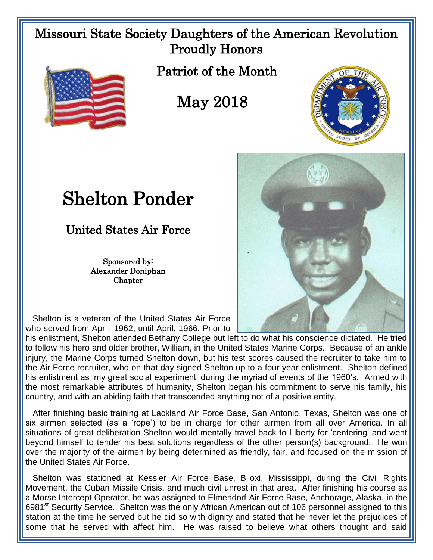## Missouri State Society Daughters of the American Revolution Proudly Honors



Patriot of the Month

## May 2018



## Shelton Ponder

United States Air Force

Sponsored by: Alexander Doniphan **Chapter** 

 Shelton is a veteran of the United States Air Force who served from April, 1962, until April, 1966. Prior to

his enlistment, Shelton attended Bethany College but left to do what his conscience dictated. He tried to follow his hero and older brother, William, in the United States Marine Corps. Because of an ankle injury, the Marine Corps turned Shelton down, but his test scores caused the recruiter to take him to the Air Force recruiter, who on that day signed Shelton up to a four year enlistment. Shelton defined his enlistment as 'my great social experiment' during the myriad of events of the 1960's. Armed with the most remarkable attributes of humanity, Shelton began his commitment to serve his family, his country, and with an abiding faith that transcended anything not of a positive entity.

 After finishing basic training at Lackland Air Force Base, San Antonio, Texas, Shelton was one of six airmen selected (as a 'rope') to be in charge for other airmen from all over America. In all situations of great deliberation Shelton would mentally travel back to Liberty for 'centering' and went beyond himself to tender his best solutions regardless of the other person(s) background. He won over the majority of the airmen by being determined as friendly, fair, and focused on the mission of the United States Air Force.

 Shelton was stationed at Kessler Air Force Base, Biloxi, Mississippi, during the Civil Rights Movement, the Cuban Missile Crisis, and much civil unrest in that area. After finishing his course as a Morse Intercept Operator, he was assigned to Elmendorf Air Force Base, Anchorage, Alaska, in the 6981<sup>st</sup> Security Service. Shelton was the only African American out of 106 personnel assigned to this station at the time he served but he did so with dignity and stated that he never let the prejudices of some that he served with affect him. He was raised to believe what others thought and said